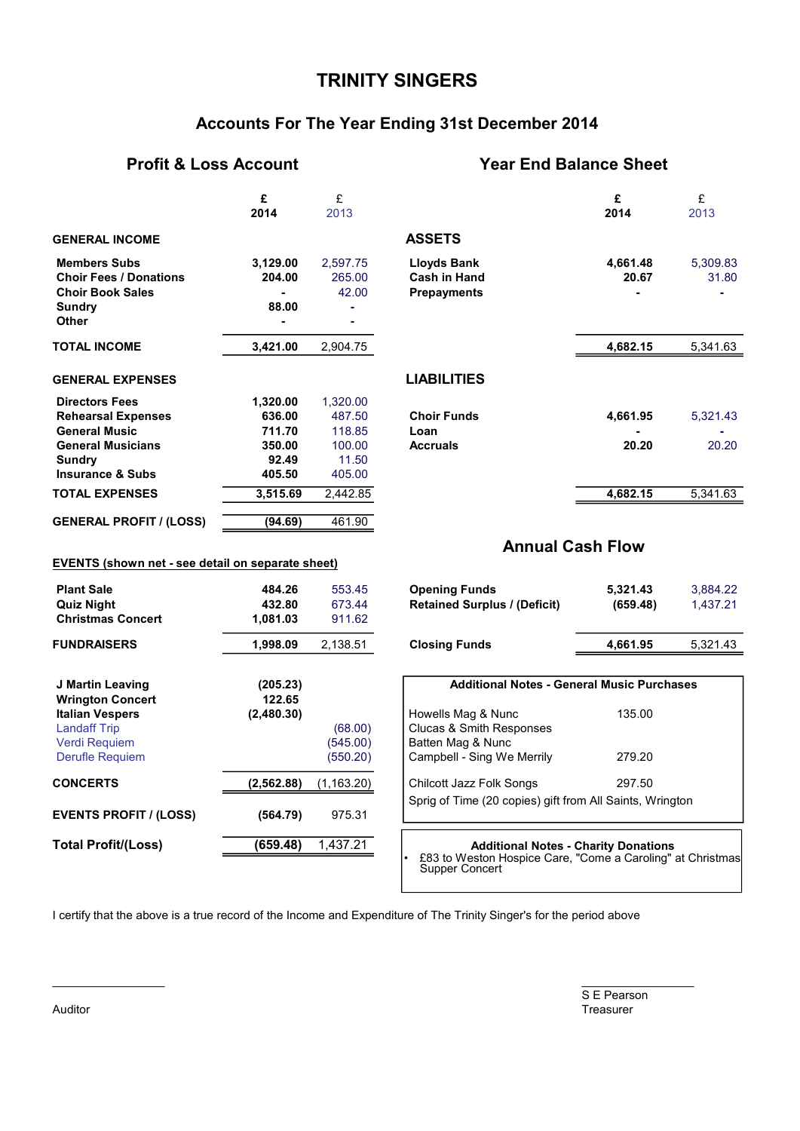## **TRINITY SINGERS**

## **Accounts For The Year Ending 31st December 2014**

#### **Profit & Loss Account Year End Balance Sheet**

|                                                                                                           | £<br>2014                    | £<br>2013                    |                                                                 | £<br>2014               | £<br>2013         |
|-----------------------------------------------------------------------------------------------------------|------------------------------|------------------------------|-----------------------------------------------------------------|-------------------------|-------------------|
| <b>GENERAL INCOME</b>                                                                                     |                              |                              | <b>ASSETS</b>                                                   |                         |                   |
| <b>Members Subs</b><br><b>Choir Fees / Donations</b><br><b>Choir Book Sales</b><br><b>Sundry</b><br>Other | 3,129.00<br>204.00<br>88.00  | 2,597.75<br>265.00<br>42.00  | <b>Lloyds Bank</b><br><b>Cash in Hand</b><br><b>Prepayments</b> | 4,661.48<br>20.67       | 5,309.83<br>31.80 |
| <b>TOTAL INCOME</b>                                                                                       | 3,421.00                     | 2,904.75                     |                                                                 | 4,682.15                | 5,341.63          |
| <b>GENERAL EXPENSES</b>                                                                                   |                              |                              | <b>LIABILITIES</b>                                              |                         |                   |
| <b>Directors Fees</b><br><b>Rehearsal Expenses</b><br><b>General Music</b>                                | 1,320.00<br>636.00<br>711.70 | 1,320.00<br>487.50<br>118.85 | <b>Choir Funds</b><br>Loan                                      | 4,661.95                | 5,321.43          |
| <b>General Musicians</b><br><b>Sundry</b><br><b>Insurance &amp; Subs</b>                                  | 350.00<br>92.49<br>405.50    | 100.00<br>11.50<br>405.00    | <b>Accruals</b>                                                 | 20.20                   | 20.20             |
| <b>TOTAL EXPENSES</b>                                                                                     | 3,515.69                     | 2,442.85                     |                                                                 | 4,682.15                | 5,341.63          |
| <b>GENERAL PROFIT / (LOSS)</b>                                                                            | (94.69)                      | 461.90                       |                                                                 |                         |                   |
| EVENTS (shown net - see detail on separate sheet)                                                         |                              |                              |                                                                 | <b>Annual Cash Flow</b> |                   |

# **Plant Sale 484.26** 553.45 **Opening Funds 5,321.43** 3,884.22 **Quiz Night 432.80** 673.44 **Retained Surplus / (Deficit) (659.48)** 1,437.21 **Christmas Concert 1,081.03** 911.62 **FUNDRAISERS** 1,998.09 2,138.51 Closing Funds <u>4,661.95 5,321.43</u> **J Martin Leaving (205.23) Wrington Concert 122.65 Italian Vespers (2,480.30)**<br>
Landaff Trip (68.00)

| <b>Opening Funds</b>                | 5,321.43 | 3.884.22 |
|-------------------------------------|----------|----------|
| <b>Retained Surplus / (Deficit)</b> | (659.48) | 1.437.21 |
| <b>Closing Funds</b>                | 4,661.95 | 5,321.43 |

| J Martin Leaving<br><b>Wrington Concert</b> | (205.23)<br>122.65 |                      | <b>Additional Notes - General Music Purchases</b>        |        |
|---------------------------------------------|--------------------|----------------------|----------------------------------------------------------|--------|
| <b>Italian Vespers</b>                      | (2,480.30)         |                      | Howells Mag & Nunc                                       | 135.00 |
| <b>Landaff Trip</b>                         |                    | (68.00)              | <b>Clucas &amp; Smith Responses</b>                      |        |
| Verdi Requiem<br><b>Derufle Requiem</b>     |                    | (545.00)<br>(550.20) | Batten Mag & Nunc<br>Campbell - Sing We Merrily          | 279.20 |
| <b>CONCERTS</b>                             | (2,562.88)         | (1, 163.20)          | Chilcott Jazz Folk Songs                                 | 297.50 |
| <b>EVENTS PROFIT / (LOSS)</b>               | (564.79)           | 975.31               | Sprig of Time (20 copies) gift from All Saints, Wrington |        |
| <b>Total Profit/(Loss)</b>                  | (659.48)           | 1.437.21             | <b>Additional Notes - Charity Donations</b>              |        |

• £83 to Weston Hospice Care, "Come a Caroling" at Christmas Supper Concert

I certify that the above is a true record of the Income and Expenditure of The Trinity Singer's for the period above

\_\_\_\_\_\_\_\_\_\_\_\_\_\_\_\_\_ \_\_\_\_\_\_\_\_\_\_\_\_\_\_\_\_\_

S E Pearson Auditor Treasurer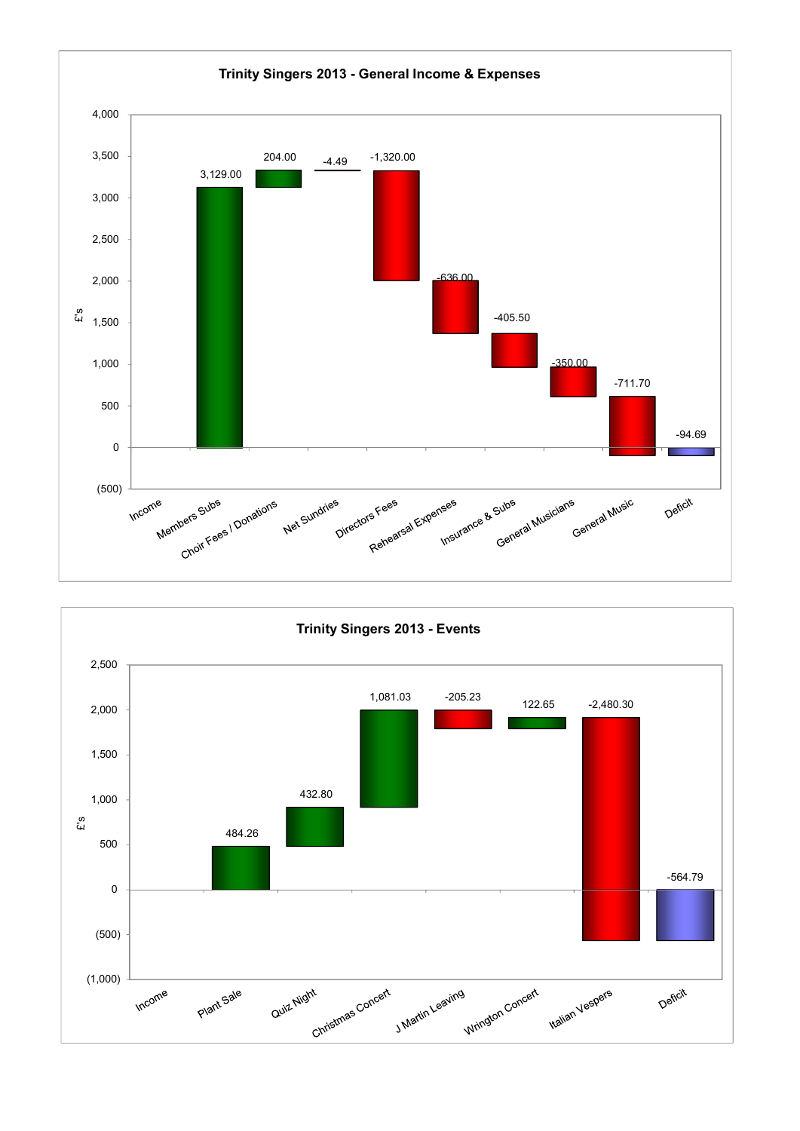